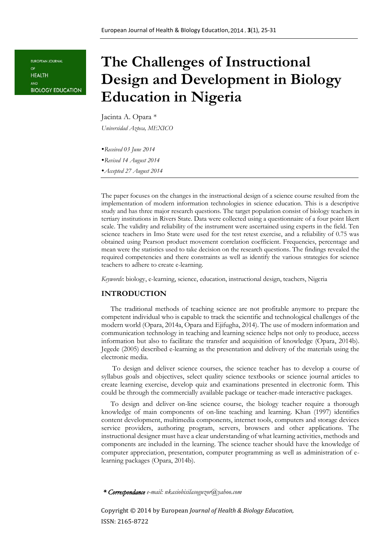EUROPEAN JOURNAL OF **HEALTH** AND **BIOLOGY EDUCATION** 

# **The Challenges of Instructional Design and Development in Biology Education in Nigeria**

# Jacinta A. Opara \*

*Universidad Azteca, MEXICO* 

- *Received 03 June 2014*
- *Revised 14 August 2014*
- *Accepted 27 August 2014*

The paper focuses on the changes in the instructional design of a science course resulted from the implementation of modern information technologies in science education. This is a descriptive study and has three major research questions. The target population consist of biology teachers in tertiary institutions in Rivers State. Data were collected using a questionnaire of a four point likert scale. The validity and reliability of the instrument were ascertained using experts in the field. Ten science teachers in Imo State were used for the test retest exercise, and a reliability of 0.75 was obtained using Pearson product movement correlation coefficient. Frequencies, percentage and mean were the statistics used to take decision on the research questions. The findings revealed the required competencies and there constraints as well as identify the various strategies for science teachers to adhere to create e-learning.

*Keywords*: biology, e-learning, science, education, instructional design, teachers, Nigeria

#### **INTRODUCTION**

The traditional methods of teaching science are not profitable anymore to prepare the competent individual who is capable to track the scientific and technological challenges of the modern world (Opara, 2014a, Opara and Ejifugha, 2014). The use of modern information and communication technology in teaching and learning science helps not only to produce, access information but also to facilitate the transfer and acquisition of knowledge (Opara, 2014b). Jegede (2005) described e-learning as the presentation and delivery of the materials using the electronic media.

To design and deliver science courses, the science teacher has to develop a course of syllabus goals and objectives, select quality science textbooks or science journal articles to create learning exercise, develop quiz and examinations presented in electronic form. This could be through the commercially available package or teacher-made interactive packages.

To design and deliver on-line science course, the biology teacher require a thorough knowledge of main components of on-line teaching and learning. Khan (1997) identifies content development, multimedia components, internet tools, computers and storage devices service providers, authoring program, servers, browsers and other applications. The instructional designer must have a clear understanding of what learning activities, methods and components are included in the learning. The science teacher should have the knowledge of computer appreciation, presentation, computer programming as well as administration of elearning packages (Opara, 2014b).

*\* Correspondance e-mail: nkasiobisilasoguzor@yahoo.com*

Copyright © 2014 by European *Journal of Health & Biology Education,* ISSN: 2165-8722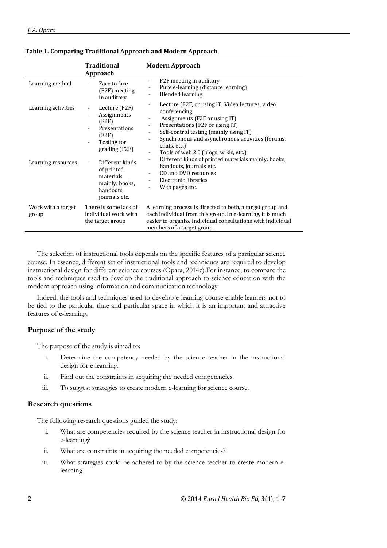|                                           | Traditional<br>Approach                                                                                                                                                                      | <b>Modern Approach</b>                                                                                                                                                                                                                                                                                                                                                                                                                                                                                |
|-------------------------------------------|----------------------------------------------------------------------------------------------------------------------------------------------------------------------------------------------|-------------------------------------------------------------------------------------------------------------------------------------------------------------------------------------------------------------------------------------------------------------------------------------------------------------------------------------------------------------------------------------------------------------------------------------------------------------------------------------------------------|
| Learning method                           | Face to face<br>(F2F) meeting<br>in auditory                                                                                                                                                 | F2F meeting in auditory<br>-<br>Pure e-learning (distance learning)<br><b>Blended learning</b>                                                                                                                                                                                                                                                                                                                                                                                                        |
| Learning activities<br>Learning resources | Lecture (F2F)<br>Assignments<br>(F2F)<br>Presentations<br>(F2F)<br>Testing for<br>grading(F2F)<br>Different kinds<br>of printed<br>materials<br>mainly: books,<br>handouts,<br>journals etc. | Lecture (F2F, or using IT: Video lectures, video<br>conferencing<br>Assignments (F2F or using IT)<br>$\overline{\phantom{m}}$<br>Presentations (F2F or using IT)<br>-<br>Self-control testing (mainly using IT)<br>-<br>Synchronous and asynchronous activities (forums,<br>۰<br>chats, etc.)<br>Tools of web 2.0 (blogs, wikis, etc.)<br>-<br>Different kinds of printed materials mainly: books,<br>Ξ.<br>handouts, journals etc.<br>CD and DVD resources<br>Electronic libraries<br>Web pages etc. |
| Work with a target<br>group               | There is some lack of<br>individual work with<br>the target group                                                                                                                            | A learning process is directed to both, a target group and<br>each individual from this group. In e-learning, it is much<br>easier to organize individual consultations with individual<br>members of a target group.                                                                                                                                                                                                                                                                                 |

#### **Table 1. Comparing Traditional Approach and Modern Approach**

The selection of instructional tools depends on the specific features of a particular science course. In essence, different set of instructional tools and techniques are required to develop instructional design for different science courses (Opara, 2014c).For instance, to compare the tools and techniques used to develop the traditional approach to science education with the modern approach using information and communication technology.

Indeed, the tools and techniques used to develop e-learning course enable learners not to be tied to the particular time and particular space in which it is an important and attractive features of e-learning.

# **Purpose of the study**

The purpose of the study is aimed to:

- i. Determine the competency needed by the science teacher in the instructional design for e-learning.
- ii. Find out the constraints in acquiring the needed competencies.
- iii. To suggest strategies to create modern e-learning for science course.

# **Research questions**

The following research questions guided the study:

- i. What are competencies required by the science teacher in instructional design for e-learning?
- ii. What are constraints in acquiring the needed competencies?
- iii. What strategies could be adhered to by the science teacher to create modern elearning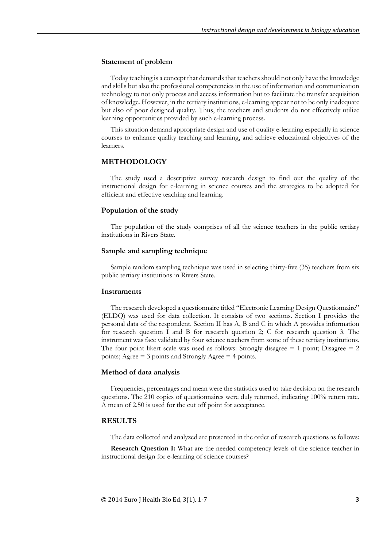#### **Statement of problem**

Today teaching is a concept that demands that teachers should not only have the knowledge and skills but also the professional competencies in the use of information and communication technology to not only process and access information but to facilitate the transfer acquisition of knowledge. However, in the tertiary institutions, e-learning appear not to be only inadequate but also of poor designed quality. Thus, the teachers and students do not effectively utilize learning opportunities provided by such e-learning process.

This situation demand appropriate design and use of quality e-learning especially in science courses to enhance quality teaching and learning, and achieve educational objectives of the learners.

#### **METHODOLOGY**

The study used a descriptive survey research design to find out the quality of the instructional design for e-learning in science courses and the strategies to be adopted for efficient and effective teaching and learning.

#### **Population of the study**

The population of the study comprises of all the science teachers in the public tertiary institutions in Rivers State.

#### **Sample and sampling technique**

Sample random sampling technique was used in selecting thirty-five (35) teachers from six public tertiary institutions in Rivers State.

#### **Instruments**

The research developed a questionnaire titled "Electronic Learning Design Questionnaire" (ELDQ) was used for data collection. It consists of two sections. Section I provides the personal data of the respondent. Section II has A, B and C in which A provides information for research question I and B for research question 2; C for research question 3. The instrument was face validated by four science teachers from some of these tertiary institutions. The four point likert scale was used as follows: Strongly disagree  $= 1$  point; Disagree  $= 2$ points; Agree = 3 points and Strongly Agree = 4 points.

#### **Method of data analysis**

Frequencies, percentages and mean were the statistics used to take decision on the research questions. The 210 copies of questionnaires were duly returned, indicating 100% return rate. A mean of 2.50 is used for the cut off point for acceptance.

#### **RESULTS**

The data collected and analyzed are presented in the order of research questions as follows:

**Research Question I:** What are the needed competency levels of the science teacher in instructional design for e-learning of science courses?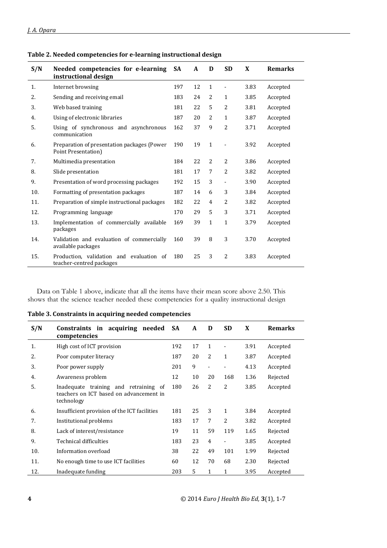| S/N | Needed competencies for e-learning<br>instructional design           | <b>SA</b> | A  | D            | <b>SD</b>      | X    | <b>Remarks</b> |
|-----|----------------------------------------------------------------------|-----------|----|--------------|----------------|------|----------------|
| 1.  | Internet browsing                                                    | 197       | 12 | $\mathbf{1}$ |                | 3.83 | Accepted       |
| 2.  | Sending and receiving email                                          | 183       | 24 | 2            | 1              | 3.85 | Accepted       |
| 3.  | Web based training                                                   | 181       | 22 | 5            | 2              | 3.81 | Accepted       |
| 4.  | Using of electronic libraries                                        | 187       | 20 | 2            | $\mathbf{1}$   | 3.87 | Accepted       |
| 5.  | Using of synchronous and asynchronous<br>communication               | 162       | 37 | 9            | $\overline{c}$ | 3.71 | Accepted       |
| 6.  | Preparation of presentation packages (Power<br>Point Presentation)   | 190       | 19 | $\mathbf{1}$ |                | 3.92 | Accepted       |
| 7.  | Multimedia presentation                                              | 184       | 22 | 2            | 2              | 3.86 | Accepted       |
| 8.  | Slide presentation                                                   | 181       | 17 | 7            | 2              | 3.82 | Accepted       |
| 9.  | Presentation of word processing packages                             | 192       | 15 | 3            |                | 3.90 | Accepted       |
| 10. | Formatting of presentation packages                                  | 187       | 14 | 6            | 3              | 3.84 | Accepted       |
| 11. | Preparation of simple instructional packages                         | 182       | 22 | 4            | 2              | 3.82 | Accepted       |
| 12. | Programming language                                                 | 170       | 29 | 5            | 3              | 3.71 | Accepted       |
| 13. | Implementation of commercially available<br>packages                 | 169       | 39 | $\mathbf{1}$ | $\mathbf{1}$   | 3.79 | Accepted       |
| 14. | Validation and evaluation of commercially<br>available packages      | 160       | 39 | 8            | 3              | 3.70 | Accepted       |
| 15. | Production, validation and evaluation of<br>teacher-centred packages | 180       | 25 | 3            | 2              | 3.83 | Accepted       |

**Table 2. Needed competencies for e-learning instructional design**

Data on Table 1 above, indicate that all the items have their mean score above 2.50. This shows that the science teacher needed these competencies for a quality instructional design

| S/N | Constraints in acquiring needed<br>competencies                                                | <b>SA</b> | A  | D              | <b>SD</b>                | X    | <b>Remarks</b> |
|-----|------------------------------------------------------------------------------------------------|-----------|----|----------------|--------------------------|------|----------------|
| 1.  | High cost of ICT provision                                                                     | 192       | 17 | $\mathbf{1}$   | $\overline{\phantom{a}}$ | 3.91 | Accepted       |
| 2.  | Poor computer literacy                                                                         | 187       | 20 | $\overline{2}$ | $\mathbf{1}$             | 3.87 | Accepted       |
| 3.  | Poor power supply                                                                              |           | 9  | $\overline{a}$ | $\overline{\phantom{a}}$ | 4.13 | Accepted       |
| 4.  | Awareness problem                                                                              | 12        | 10 | 20             | 168                      | 1.36 | Rejected       |
| .5. | Inadequate training and retraining of<br>teachers on ICT based on advancement in<br>technology | 180       | 26 | $\overline{2}$ | 2                        | 3.85 | Accepted       |
| 6.  | Insufficient provision of the ICT facilities                                                   | 181       | 25 | 3              | $\mathbf{1}$             | 3.84 | Accepted       |
| 7.  | Institutional problems                                                                         | 183       | 17 | 7              | 2                        | 3.82 | Accepted       |
| 8.  | Lack of interest/resistance                                                                    | 19        | 11 | 59             | 119                      | 1.65 | Rejected       |
| 9.  | Technical difficulties                                                                         |           | 23 | $\overline{4}$ | $\overline{\phantom{a}}$ | 3.85 | Accepted       |
| 10. | Information overload                                                                           |           | 22 | 49             | 101                      | 1.99 | Rejected       |
| 11. | No enough time to use ICT facilities                                                           | 60        | 12 | 70             | 68                       | 2.30 | Rejected       |
| 12. | Inadequate funding                                                                             | 203       | 5  | $\mathbf{1}$   | 1                        | 3.95 | Accepted       |

**Table 3. Constraints in acquiring needed competencies**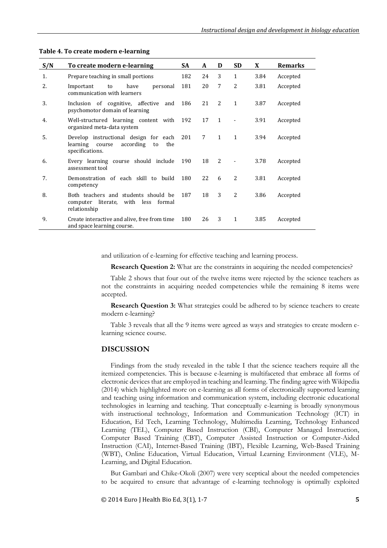| S/N | To create modern e-learning                                                                              |     | A           | D              | <b>SD</b>    | X    | <b>Remarks</b> |
|-----|----------------------------------------------------------------------------------------------------------|-----|-------------|----------------|--------------|------|----------------|
| 1.  | Prepare teaching in small portions                                                                       | 182 | 24          | 3              | $\mathbf{1}$ | 3.84 | Accepted       |
| 2.  | to<br>have<br>personal<br>Important<br>communication with learners                                       | 181 | 20          | 7              | 2            | 3.81 | Accepted       |
| 3.  | Inclusion of cognitive, affective<br>and<br>psychomotor domain of learning                               | 186 | 21          | $\overline{2}$ | $\mathbf{1}$ | 3.87 | Accepted       |
| 4.  | Well-structured learning content with<br>organized meta-data system                                      | 192 | 17          | $\mathbf{1}$   |              | 3.91 | Accepted       |
| 5.  | Develop instructional design for each<br>according<br>the<br>learning<br>course<br>to<br>specifications. | 201 | $7^{\circ}$ | $\mathbf{1}$   | $\mathbf{1}$ | 3.94 | Accepted       |
| 6.  | Every learning course should include<br>assessment tool                                                  | 190 | 18          | $\overline{2}$ |              | 3.78 | Accepted       |
| 7.  | Demonstration of each skill to build<br>competency                                                       | 180 | 22          | 6              | 2            | 3.81 | Accepted       |
| 8.  | Both teachers and students should be<br>computer literate, with less<br>formal<br>relationship           | 187 | 18          | 3              | 2            | 3.86 | Accepted       |
| 9.  | Create interactive and alive, free from time<br>and space learning course.                               | 180 | 26          | 3              | $\mathbf{1}$ | 3.85 | Accepted       |

#### **Table 4. To create modern e-learning**

and utilization of e-learning for effective teaching and learning process.

**Research Question 2:** What are the constraints in acquiring the needed competencies?

Table 2 shows that four out of the twelve items were rejected by the science teachers as not the constraints in acquiring needed competencies while the remaining 8 items were accepted.

**Research Question 3:** What strategies could be adhered to by science teachers to create modern e-learning?

Table 3 reveals that all the 9 items were agreed as ways and strategies to create modern elearning science course.

#### **DISCUSSION**

Findings from the study revealed in the table I that the science teachers require all the itemized competencies. This is because e-learning is multifaceted that embrace all forms of electronic devices that are employed in teaching and learning. The finding agree with Wikipedia (2014) which highlighted more on e-learning as all forms of electronically supported learning and teaching using information and communication system, including electronic educational technologies in learning and teaching. That conceptually e-learning is broadly synonymous with instructional technology, Information and Communication Technology (ICT) in Education, Ed Tech, Learning Technology, Multimedia Learning, Technology Enhanced Learning (TEL), Computer Based Instruction (CBI), Computer Managed Instruction, Computer Based Training (CBT), Computer Assisted Instruction or Computer-Aided Instruction (CAI), Internet-Based Training (IBT), Flexible Learning, Web-Based Training (WBT), Online Education, Virtual Education, Virtual Learning Environment (VLE), M-Learning, and Digital Education.

But Gambari and Chike-Okoli (2007) were very sceptical about the needed competencies to be acquired to ensure that advantage of e-learning technology is optimally exploited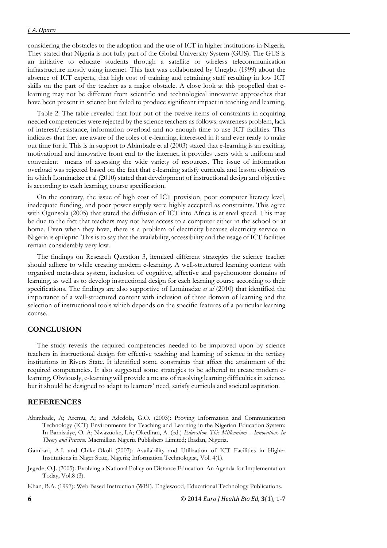considering the obstacles to the adoption and the use of ICT in higher institutions in Nigeria. They stated that Nigeria is not fully part of the Global University System (GUS). The GUS is an initiative to educate students through a satellite or wireless telecommunication infrastructure mostly using internet. This fact was collaborated by Unegbu (1999) about the absence of ICT experts, that high cost of training and retraining staff resulting in low ICT skills on the part of the teacher as a major obstacle. A close look at this propelled that elearning may not be different from scientific and technological innovative approaches that have been present in science but failed to produce significant impact in teaching and learning.

Table 2: The table revealed that four out of the twelve items of constraints in acquiring needed competencies were rejected by the science teachers as follows: awareness problem, lack of interest/resistance, information overload and no enough time to use ICT facilities. This indicates that they are aware of the roles of e-learning, interested in it and ever ready to make out time for it. This is in support to Abimbade et al (2003) stated that e-learning is an exciting, motivational and innovative front end to the internet, it provides users with a uniform and convenient means of assessing the wide variety of resources. The issue of information overload was rejected based on the fact that e-learning satisfy curricula and lesson objectives in which Lominadze et al (2010) stated that development of instructional design and objective is according to each learning, course specification.

On the contrary, the issue of high cost of ICT provision, poor computer literacy level, inadequate funding, and poor power supply were highly accepted as constraints. This agree with Ogunsola (2005) that stated the diffusion of ICT into Africa is at snail speed. This may be due to the fact that teachers may not have access to a computer either in the school or at home. Even when they have, there is a problem of electricity because electricity service in Nigeria is epileptic. This is to say that the availability, accessibility and the usage of ICT facilities remain considerably very low.

The findings on Research Question 3, itemized different strategies the science teacher should adhere to while creating modern e-learning. A well-structured learning content with organised meta-data system, inclusion of cognitive, affective and psychomotor domains of learning, as well as to develop instructional design for each learning course according to their specifications. The findings are also supportive of Lominadze *et al* (2010) that identified the importance of a well-structured content with inclusion of three domain of learning and the selection of instructional tools which depends on the specific features of a particular learning course.

# **CONCLUSION**

The study reveals the required competencies needed to be improved upon by science teachers in instructional design for effective teaching and learning of science in the tertiary institutions in Rivers State. It identified some constraints that affect the attainment of the required competencies. It also suggested some strategies to be adhered to create modern elearning. Obviously, e-learning will provide a means of resolving learning difficulties in science, but it should be designed to adapt to learners' need, satisfy curricula and societal aspiration.

# **REFERENCES**

- Abimbade, A; Aremu, A; and Adedola, G.O. (2003): Proving Information and Communication Technology (ICT) Environments for Teaching and Learning in the Nigerian Education System: In Bamisaiye, O. A; Nwazuoke, I.A; Okediran, A. (ed.) *Education. This Millennium – Innovations In Theory and Practice.* Macmillian Nigeria Publishers Limited; Ibadan, Nigeria.
- Gambari, A.I. and Chike-Okoli (2007): Availability and Utilization of ICT Facilities in Higher Institutions in Niger State, Nigeria; Information Technologist, Vol. 4(1).
- Jegede, O.J. (2005): Evolving a National Policy on Distance Education. An Agenda for Implementation Today, Vol.8 (3).
- Khan, B.A. (1997): Web Based Instruction (WBI). Englewood, Educational Technology Publications.

**6** © 2014 *Euro J Health Bio Ed,* **3**(1), 1-7